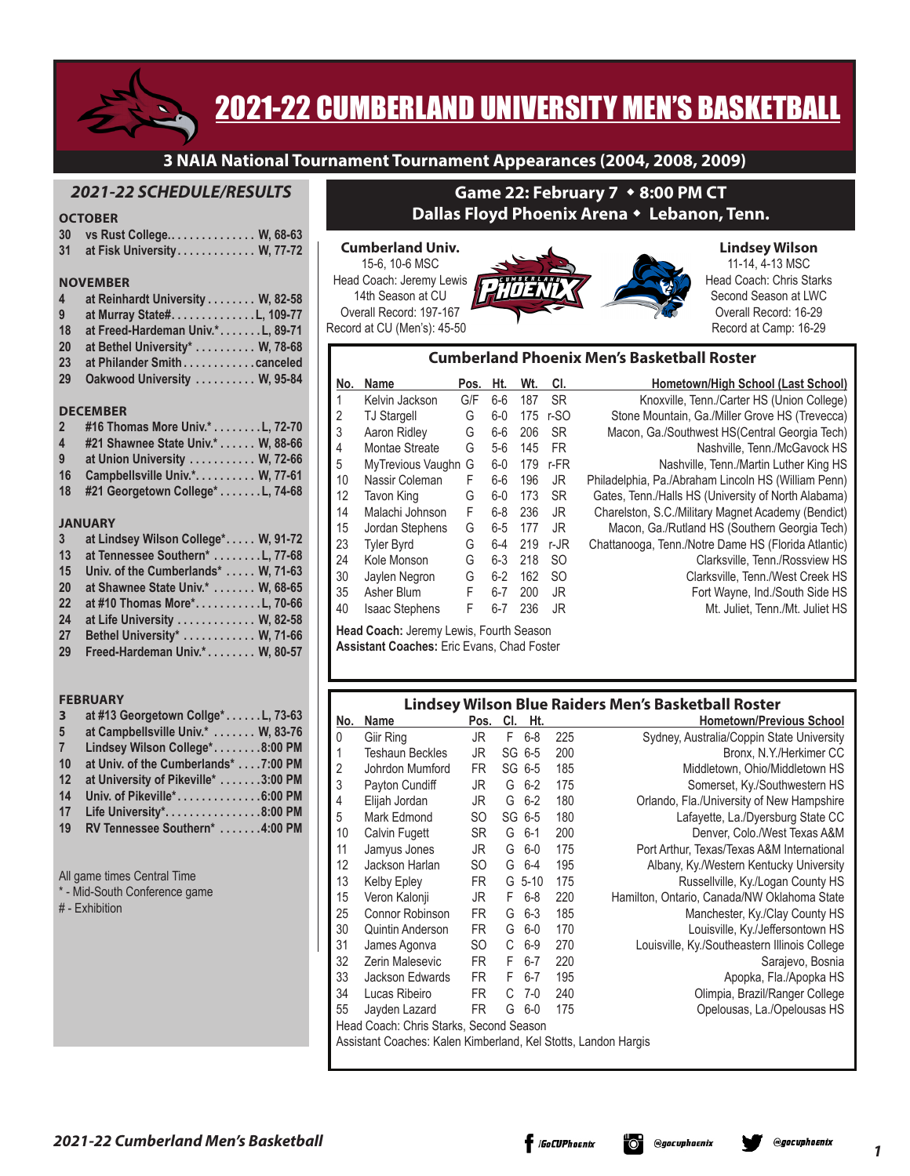

# 2021-22 CUMBERLAND UNIVERSITY MEN'S BASKETBALL

**3 NAIA National Tournament Tournament Appearances (2004, 2008, 2009)**

# *2021-22 SCHEDULE/RESULTS*

# **OCTOBER**

|                | <b>OLIOBER</b>                    |
|----------------|-----------------------------------|
| 30             | vs Rust College W, 68-63          |
| 31             | at Fisk University W, 77-72       |
|                |                                   |
|                | <b>NOVEMBER</b>                   |
| $\overline{4}$ | at Reinhardt University W, 82-58  |
| 9              | at Murray State#. 109-77          |
| 18             | at Freed-Hardeman Univ.*L, 89-71  |
| 20             | at Bethel University* W, 78-68    |
| 23             | at Philander Smithcanceled        |
| 29             | Oakwood University  W, 95-84      |
|                |                                   |
|                | <b>DECEMBER</b>                   |
| $\overline{2}$ | #16 Thomas More Univ.* L, 72-70   |
| $\overline{4}$ | #21 Shawnee State Univ.* W, 88-66 |
| 9              | at Union University W, 72-66      |
|                |                                   |

- **16 Campbellsville Univ.\* . . W, 77-61**
- **18 #21 Georgetown College\* . L, 74-68**

#### **JANUARY**

| $\mathbf{3}$ | at Lindsey Wilson College* W, 91-72 |
|--------------|-------------------------------------|
| 13           | at Tennessee Southern* L, 77-68     |
| 15           | Univ. of the Cumberlands*  W, 71-63 |
| 20           | at Shawnee State Univ.* W, 68-65    |
| 22           | at #10 Thomas More*L, 70-66         |
| 24           | at Life University W, 82-58         |
| 27           | Bethel University* W, 71-66         |
| 29           | Freed-Hardeman Univ.* W, 80-57      |

#### **FEBRUARY**

| $\overline{\mathbf{3}}$ | at #13 Georgetown Collge*L, 73-63    |
|-------------------------|--------------------------------------|
| 5                       | at Campbellsville Univ.*  W, 83-76   |
| $\overline{7}$          | Lindsey Wilson College*8:00 PM       |
| 10                      | at Univ. of the Cumberlands* 7:00 PM |
| 12                      | at University of Pikeville* 3:00 PM  |
| 14                      | Univ. of Pikeville*6:00 PM           |
| 17                      | Life University*8:00 PM              |
| 19                      | RV Tennessee Southern* 4:00 PM       |
|                         |                                      |
|                         |                                      |

All game times Central Time

- \* Mid-South Conference game
- # Exhibition

# **Game 22: February 7 → 8:00 PM CT Dallas Floyd Phoenix Arena** w **Lebanon, Tenn.**

#### **Cumberland Univ.** 15-6, 10-6 MSC Head Coach: Jeremy Lewis 14th Season at CU Overall Record: 197-167 Record at CU (Men's): 45-50



#### **Lindsey Wilson** 11-14, 4-13 MSC Head Coach: Chris Starks Second Season at LWC Overall Record: 16-29 Record at Camp: 16-29

#### **Cumberland Phoenix Men's Basketball Roster**

| No. | <b>Name</b>           | Pos. | Ht.     | Wt. | CI.           | Hometown/High School (Last School)                  |
|-----|-----------------------|------|---------|-----|---------------|-----------------------------------------------------|
|     | Kelvin Jackson        | G/F  | $6-6$   | 187 | <b>SR</b>     | Knoxville, Tenn./Carter HS (Union College)          |
| 2   | <b>TJ Stargell</b>    | G    | $6-0$   | 175 | r-SO          | Stone Mountain, Ga./Miller Grove HS (Trevecca)      |
| 3   | Aaron Ridley          | G    | $6-6$   | 206 | <b>SR</b>     | Macon, Ga./Southwest HS(Central Georgia Tech)       |
| 4   | Montae Streate        | G    | $5-6$   | 145 | <b>FR</b>     | Nashville, Tenn./McGavock HS                        |
| 5   | MyTrevious Vaughn G   |      | $6-0$   | 179 | r-FR          | Nashville, Tenn./Martin Luther King HS              |
| 10  | Nassir Coleman        | F    | $6-6$   | 196 | JR.           | Philadelphia, Pa./Abraham Lincoln HS (William Penn) |
| 12  | Tavon King            | G    | $6-0$   | 173 | <b>SR</b>     | Gates, Tenn./Halls HS (University of North Alabama) |
| 14  | Malachi Johnson       | F    | $6-8$   | 236 | JR            | Charelston, S.C./Military Magnet Academy (Bendict)  |
| 15  | Jordan Stephens       | G    | $6 - 5$ | 177 | JR            | Macon, Ga./Rutland HS (Southern Georgia Tech)       |
| 23  | <b>Tyler Byrd</b>     | G    | $6-4$   | 219 | $r-JR$        | Chattanooga, Tenn./Notre Dame HS (Florida Atlantic) |
| 24  | Kole Monson           | G    | $6-3$   | 218 | <sub>SO</sub> | Clarksville, Tenn./Rossview HS                      |
| 30  | Jaylen Negron         | G    | $6-2$   | 162 | <sub>SO</sub> | Clarksville, Tenn./West Creek HS                    |
| 35  | Asher Blum            | F    | $6 - 7$ | 200 | JR            | Fort Wayne, Ind./South Side HS                      |
| 40  | <b>Isaac Stephens</b> | F    | $6 - 7$ | 236 | JR            | Mt. Juliet, Tenn./Mt. Juliet HS                     |
|     |                       |      |         |     |               |                                                     |

**Head Coach:** Jeremy Lewis, Fourth Season **Assistant Coaches:** Eric Evans, Chad Foster

# **Lindsey Wilson Blue Raiders Men's Basketball Roster No. Name Pos. Cl. Ht. Hometown/Previous School**

| NO.                                                            | name                                    | POS.      | UI. | Hī.      |     | <b>HOMEIOWN/Previous SCNOOL</b>               |
|----------------------------------------------------------------|-----------------------------------------|-----------|-----|----------|-----|-----------------------------------------------|
| 0                                                              | Giir Ring                               | JR.       | F   | $6 - 8$  | 225 | Sydney, Australia/Coppin State University     |
|                                                                | Teshaun Beckles                         | JR        |     | SG 6-5   | 200 | Bronx, N.Y./Herkimer CC                       |
| 2                                                              | Johrdon Mumford                         | FR.       |     | SG 6-5   | 185 | Middletown, Ohio/Middletown HS                |
| 3                                                              | Payton Cundiff                          | JR        | G   | $6 - 2$  | 175 | Somerset, Ky./Southwestern HS                 |
| 4                                                              | Elijah Jordan                           | JR.       | G   | $6 - 2$  | 180 | Orlando, Fla./University of New Hampshire     |
| 5                                                              | Mark Edmond                             | SO.       |     | SG 6-5   | 180 | Lafayette, La./Dyersburg State CC             |
| 10                                                             | <b>Calvin Fugett</b>                    | <b>SR</b> | G   | $6 - 1$  | 200 | Denver, Colo./West Texas A&M                  |
| 11                                                             | Jamyus Jones                            | JR        | G   | $6-0$    | 175 | Port Arthur, Texas/Texas A&M International    |
| 12                                                             | Jackson Harlan                          | SO.       | G   | $6 - 4$  | 195 | Albany, Ky./Western Kentucky University       |
| 13                                                             | Kelby Epley                             | FR.       | G   | $5 - 10$ | 175 | Russellville, Ky./Logan County HS             |
| 15                                                             | Veron Kalonji                           | JR        | F.  | $6 - 8$  | 220 | Hamilton, Ontario, Canada/NW Oklahoma State   |
| 25                                                             | Connor Robinson                         | <b>FR</b> | G   | $6 - 3$  | 185 | Manchester, Ky./Clay County HS                |
| 30                                                             | Quintin Anderson                        | <b>FR</b> | G   | $6-0$    | 170 | Louisville, Ky./Jeffersontown HS              |
| 31                                                             | James Agonva                            | SO        | С   | $6-9$    | 270 | Louisville, Ky./Southeastern Illinois College |
| 32                                                             | Zerin Malesevic                         | <b>FR</b> | F   | $6 - 7$  | 220 | Sarajevo, Bosnia                              |
| 33                                                             | Jackson Edwards                         | <b>FR</b> | F   | $6 - 7$  | 195 | Apopka, Fla./Apopka HS                        |
| 34                                                             | Lucas Ribeiro                           | <b>FR</b> | C   | $7-0$    | 240 | Olimpia, Brazil/Ranger College                |
| 55                                                             | Jayden Lazard                           | <b>FR</b> | G   | $6-0$    | 175 | Opelousas, La./Opelousas HS                   |
|                                                                | Head Coach: Chris Starks, Second Season |           |     |          |     |                                               |
| Assistant Coaches: Kalen Kimberland, Kel Stotts, Landon Hargis |                                         |           |     |          |     |                                               |